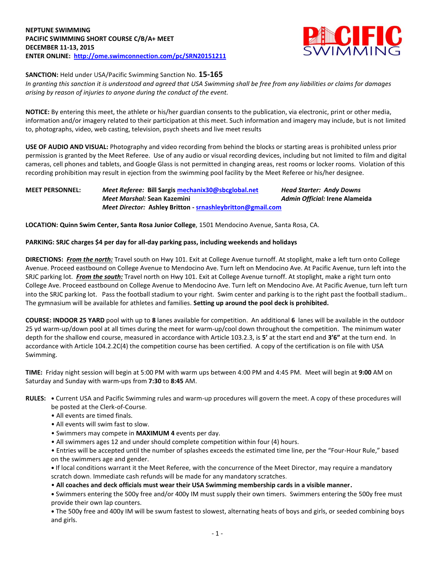

**SANCTION:** Held under USA/Pacific Swimming Sanction No. **15-165**

*In granting this sanction it is understood and agreed that USA Swimming shall be free from any liabilities or claims for damages arising by reason of injuries to anyone during the conduct of the event.*

**NOTICE:** By entering this meet, the athlete or his/her guardian consents to the publication, via electronic, print or other media, information and/or imagery related to their participation at this meet. Such information and imagery may include, but is not limited to, photographs, video, web casting, television, psych sheets and live meet results

**USE OF AUDIO AND VISUAL:** Photography and video recording from behind the blocks or starting areas is prohibited unless prior permission is granted by the Meet Referee. Use of any audio or visual recording devices, including but not limited to film and digital cameras, cell phones and tablets, and Google Glass is not permitted in changing areas, rest rooms or locker rooms. Violation of this recording prohibition may result in ejection from the swimming pool facility by the Meet Referee or his/her designee.

## **MEET PERSONNEL:** *Meet Referee:* **Bill Sargi[s mechanix30@sbcglobal.net](mailto:mechanix30@sbcglobal.net)** *Head Starter: Andy Downs Meet Marshal:* **Sean Kazemini** *Admin Official:* **Irene Alameida** *Meet Director:* **Ashley Britton - [srnashleybritton@gmail.com](mailto:srnashleybritton@gmail.com)**

**LOCATION: Quinn Swim Center, Santa Rosa Junior College**, 1501 Mendocino Avenue, Santa Rosa, CA.

## **PARKING: SRJC charges \$4 per day for all-day parking pass, including weekends and holidays**

**DIRECTIONS:** *From the north:* Travel south on Hwy 101. Exit at College Avenue turnoff. At stoplight, make a left turn onto College Avenue. Proceed eastbound on College Avenue to Mendocino Ave. Turn left on Mendocino Ave. At Pacific Avenue, turn left into the SRJC parking lot. *From the south:* Travel north on Hwy 101. Exit at College Avenue turnoff. At stoplight, make a right turn onto College Ave. Proceed eastbound on College Avenue to Mendocino Ave. Turn left on Mendocino Ave. At Pacific Avenue, turn left turn into the SRJC parking lot. Pass the football stadium to your right. Swim center and parking is to the right past the football stadium.. The gymnasium will be available for athletes and families. **Setting up around the pool deck is prohibited.**

**COURSE: INDOOR 25 YARD** pool with up to **8** lanes available for competition.An additional **6** lanes will be available in the outdoor 25 yd warm-up/down pool at all times during the meet for warm-up/cool down throughout the competition. The minimum water depth for the shallow end course, measured in accordance with Article 103.2.3, is **5'** at the start end and **3'6"** at the turn end. In accordance with Article 104.2.2C(4) the competition course has been certified. A copy of the certification is on file with USA Swimming.

**TIME:** Friday night session will begin at 5:00 PM with warm ups between 4:00 PM and 4:45 PM. Meet will begin at **9:00** AM on Saturday and Sunday with warm-ups from **7:30** to **8:45** AM.

- **RULES: •** Current USA and Pacific Swimming rules and warm-up procedures will govern the meet. A copy of these procedures will be posted at the Clerk-of-Course.
	- All events are timed finals.
	- All events will swim fast to slow.
	- Swimmers may compete in **MAXIMUM 4** events per day.
	- All swimmers ages 12 and under should complete competition within four (4) hours.

• Entries will be accepted until the number of splashes exceeds the estimated time line, per the "Four-Hour Rule," based on the swimmers age and gender.

**•** If local conditions warrant it the Meet Referee, with the concurrence of the Meet Director, may require a mandatory scratch down. Immediate cash refunds will be made for any mandatory scratches.

• **All coaches and deck officials must wear their USA Swimming membership cards in a visible manner.** 

**•** Swimmers entering the 500y free and/or 400y IM must supply their own timers. Swimmers entering the 500y free must provide their own lap counters.

**•** The 500y free and 400y IM will be swum fastest to slowest, alternating heats of boys and girls, or seeded combining boys and girls.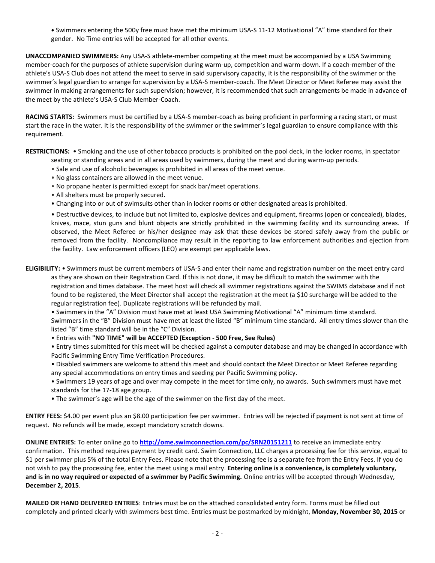**•** Swimmers entering the 500y free must have met the minimum USA-S 11-12 Motivational "A" time standard for their gender. No Time entries will be accepted for all other events.

**UNACCOMPANIED SWIMMERS:** Any USA-S athlete-member competing at the meet must be accompanied by a USA Swimming member-coach for the purposes of athlete supervision during warm-up, competition and warm-down. If a coach-member of the athlete's USA-S Club does not attend the meet to serve in said supervisory capacity, it is the responsibility of the swimmer or the swimmer's legal guardian to arrange for supervision by a USA-S member-coach. The Meet Director or Meet Referee may assist the swimmer in making arrangements for such supervision; however, it is recommended that such arrangements be made in advance of the meet by the athlete's USA-S Club Member-Coach.

**RACING STARTS:** Swimmers must be certified by a USA-S member-coach as being proficient in performing a racing start, or must start the race in the water. It is the responsibility of the swimmer or the swimmer's legal guardian to ensure compliance with this requirement.

**RESTRICTIONS:** • Smoking and the use of other tobacco products is prohibited on the pool deck, in the locker rooms, in spectator

- seating or standing areas and in all areas used by swimmers, during the meet and during warm-up periods.
- Sale and use of alcoholic beverages is prohibited in all areas of the meet venue.
- No glass containers are allowed in the meet venue.
- No propane heater is permitted except for snack bar/meet operations.
- All shelters must be properly secured.
- Changing into or out of swimsuits other than in locker rooms or other designated areas is prohibited.

• Destructive devices, to include but not limited to, explosive devices and equipment, firearms (open or concealed), blades, knives, mace, stun guns and blunt objects are strictly prohibited in the swimming facility and its surrounding areas. If observed, the Meet Referee or his/her designee may ask that these devices be stored safely away from the public or removed from the facility. Noncompliance may result in the reporting to law enforcement authorities and ejection from the facility. Law enforcement officers (LEO) are exempt per applicable laws.

**ELIGIBILITY:** • Swimmers must be current members of USA-S and enter their name and registration number on the meet entry card

as they are shown on their Registration Card. If this is not done, it may be difficult to match the swimmer with the registration and times database. The meet host will check all swimmer registrations against the SWIMS database and if not found to be registered, the Meet Director shall accept the registration at the meet (a \$10 surcharge will be added to the regular registration fee). Duplicate registrations will be refunded by mail.

• Swimmers in the "A" Division must have met at least USA Swimming Motivational "A" minimum time standard. Swimmers in the "B" Division must have met at least the listed "B" minimum time standard. All entry times slower than the listed "B" time standard will be in the "C" Division.

• Entries with **"NO TIME" will be ACCEPTED (Exception - 500 Free, See Rules)**

• Entry times submitted for this meet will be checked against a computer database and may be changed in accordance with Pacific Swimming Entry Time Verification Procedures.

• Disabled swimmers are welcome to attend this meet and should contact the Meet Director or Meet Referee regarding any special accommodations on entry times and seeding per Pacific Swimming policy.

- Swimmers 19 years of age and over may compete in the meet for time only, no awards. Such swimmers must have met standards for the 17-18 age group.
- The swimmer's age will be the age of the swimmer on the first day of the meet.

**ENTRY FEES:** \$4.00 per event plus an \$8.00 participation fee per swimmer. Entries will be rejected if payment is not sent at time of request. No refunds will be made, except mandatory scratch downs.

**ONLINE ENTRIES:** To enter online go to **<http://ome.swimconnection.com/pc/SRN20151211>** to receive an immediate entry confirmation. This method requires payment by credit card. Swim Connection, LLC charges a processing fee for this service, equal to \$1 per swimmer plus 5% of the total Entry Fees. Please note that the processing fee is a separate fee from the Entry Fees. If you do not wish to pay the processing fee, enter the meet using a mail entry. **Entering online is a convenience, is completely voluntary, and is in no way required or expected of a swimmer by Pacific Swimming.** Online entries will be accepted through Wednesday, **December 2, 2015**.

**MAILED OR HAND DELIVERED ENTRIES**: Entries must be on the attached consolidated entry form. Forms must be filled out completely and printed clearly with swimmers best time. Entries must be postmarked by midnight, **Monday, November 30, 2015** or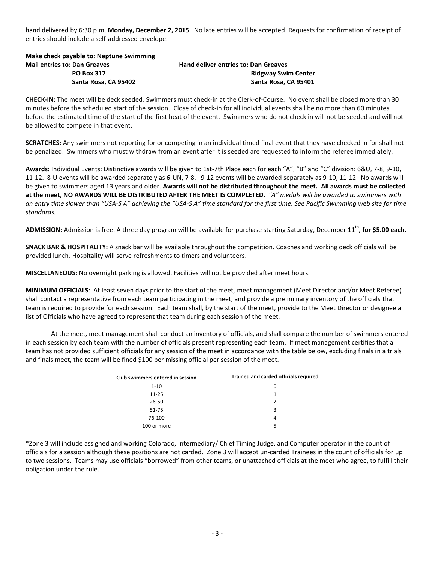hand delivered by 6:30 p.m, **Monday, December 2, 2015**. No late entries will be accepted. Requests for confirmation of receipt of entries should include a self-addressed envelope.

**Make check payable to**: **Neptune Swimming Mail entries to**: **Dan Greaves Hand deliver entries to: Dan Greaves**

**PO Box 317 PO Box 317 Ridgway Swim Center Santa Rosa, CA 95402 Santa Rosa, CA 95401**

**CHECK-IN:** The meet will be deck seeded. Swimmers must check-in at the Clerk-of-Course. No event shall be closed more than 30 minutes before the scheduled start of the session. Close of check-in for all individual events shall be no more than 60 minutes before the estimated time of the start of the first heat of the event. Swimmers who do not check in will not be seeded and will not be allowed to compete in that event.

**SCRATCHES:** Any swimmers not reporting for or competing in an individual timed final event that they have checked in for shall not be penalized. Swimmers who must withdraw from an event after it is seeded are requested to inform the referee immediately.

**Awards:** Individual Events: Distinctive awards will be given to 1st-7th Place each for each "A", "B" and "C" division: 6&U, 7-8, 9-10, 11-12. 8-U events will be awarded separately as 6-UN, 7-8. 9-12 events will be awarded separately as 9-10, 11-12 No awards will be given to swimmers aged 13 years and older. **Awards will not be distributed throughout the meet. All awards must be collected at the meet, NO AWARDS WILL BE DISTRIBUTED AFTER THE MEET IS COMPLETED.** *"A" medals will be awarded to swimmers with an entry time slower than "USA-S A" achieving the "USA-S A" time standard for the first time. See Pacific Swimming web site for time standards.* 

ADMISSION: Admission is free. A three day program will be available for purchase starting Saturday, December 11<sup>th</sup>, for \$5.00 each.

**SNACK BAR & HOSPITALITY:** A snack bar will be available throughout the competition. Coaches and working deck officials will be provided lunch. Hospitality will serve refreshments to timers and volunteers.

**MISCELLANEOUS:** No overnight parking is allowed. Facilities will not be provided after meet hours.

**MINIMUM OFFICIALS**: At least seven days prior to the start of the meet, meet management (Meet Director and/or Meet Referee) shall contact a representative from each team participating in the meet, and provide a preliminary inventory of the officials that team is required to provide for each session. Each team shall, by the start of the meet, provide to the Meet Director or designee a list of Officials who have agreed to represent that team during each session of the meet.

At the meet, meet management shall conduct an inventory of officials, and shall compare the number of swimmers entered in each session by each team with the number of officials present representing each team. If meet management certifies that a team has not provided sufficient officials for any session of the meet in accordance with the table below, excluding finals in a trials and finals meet, the team will be fined \$100 per missing official per session of the meet.

| Club swimmers entered in session | Trained and carded officials required |
|----------------------------------|---------------------------------------|
| $1 - 10$                         |                                       |
| $11 - 25$                        |                                       |
| 26-50                            |                                       |
| 51-75                            |                                       |
| 76-100                           |                                       |
| 100 or more                      |                                       |

\*Zone 3 will include assigned and working Colorado, Intermediary/ Chief Timing Judge, and Computer operator in the count of officials for a session although these positions are not carded. Zone 3 will accept un-carded Trainees in the count of officials for up to two sessions. Teams may use officials "borrowed" from other teams, or unattached officials at the meet who agree, to fulfill their obligation under the rule.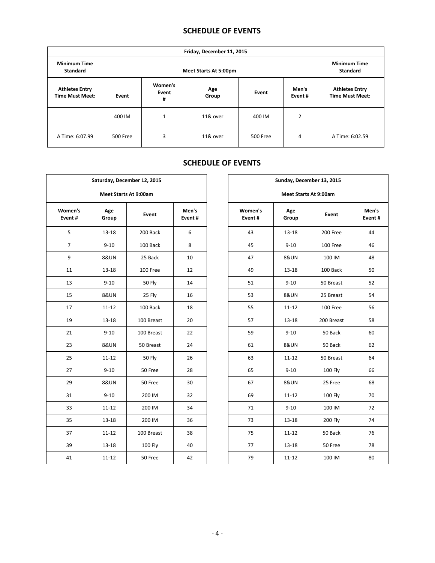## **SCHEDULE OF EVENTS**

| Friday, December 11, 2015                       |          |                                        |          |          |                 |                                                 |  |  |  |
|-------------------------------------------------|----------|----------------------------------------|----------|----------|-----------------|-------------------------------------------------|--|--|--|
| <b>Minimum Time</b><br><b>Standard</b>          |          | <b>Minimum Time</b><br><b>Standard</b> |          |          |                 |                                                 |  |  |  |
| <b>Athletes Entry</b><br><b>Time Must Meet:</b> | Event    | Women's<br>Age<br>Event<br>Group<br>#  |          | Event    | Men's<br>Event# | <b>Athletes Entry</b><br><b>Time Must Meet:</b> |  |  |  |
|                                                 | 400 IM   | 1                                      | 11& over | 400 IM   | 2               |                                                 |  |  |  |
| A Time: 6:07.99                                 | 500 Free | 3                                      | 11& over | 500 Free | 4               | A Time: 6:02.59                                 |  |  |  |

## **SCHEDULE OF EVENTS**

| Saturday, December 12, 2015<br><b>Meet Starts At 9:00am</b> |                 |                |                 |  |                   |                 | Sunday, December 13, 2015    |
|-------------------------------------------------------------|-----------------|----------------|-----------------|--|-------------------|-----------------|------------------------------|
|                                                             |                 |                |                 |  |                   |                 | <b>Meet Starts At 9:00am</b> |
| Women's<br>Event#                                           | Age<br>Group    | Event          | Men's<br>Event# |  | Women's<br>Event# | Age<br>Group    | <b>Event</b>                 |
| 5                                                           | $13 - 18$       | 200 Back       | 6               |  | 43                | $13 - 18$       | 200 Free                     |
| $\overline{7}$                                              | $9 - 10$        | 100 Back       | 8               |  | 45                | $9 - 10$        | 100 Free                     |
| 9                                                           | <b>8&amp;UN</b> | 25 Back        | 10              |  | 47                | <b>8&amp;UN</b> | 100 IM                       |
| 11                                                          | $13 - 18$       | 100 Free       | 12              |  | 49                | $13 - 18$       | 100 Back                     |
| 13                                                          | $9 - 10$        | <b>50 Fly</b>  | 14              |  | 51                | $9 - 10$        | 50 Breas                     |
| 15                                                          | <b>8&amp;UN</b> | 25 Fly         | 16              |  | 53                | <b>8&amp;UN</b> | 25 Breas                     |
| 17                                                          | $11 - 12$       | 100 Back       | 18              |  | 55                | $11 - 12$       | 100 Free                     |
| 19                                                          | $13 - 18$       | 100 Breast     | 20              |  | 57                | $13 - 18$       | 200 Breas                    |
| 21                                                          | $9 - 10$        | 100 Breast     | 22              |  | 59                | $9 - 10$        | 50 Back                      |
| 23                                                          | <b>8&amp;UN</b> | 50 Breast      | 24              |  | 61                | <b>8&amp;UN</b> | 50 Back                      |
| 25                                                          | $11 - 12$       | <b>50 Fly</b>  | 26              |  | 63                | $11 - 12$       | 50 Breas                     |
| 27                                                          | $9 - 10$        | 50 Free        | 28              |  | 65                | $9 - 10$        | 100 Fly                      |
| 29                                                          | <b>8&amp;UN</b> | 50 Free        | 30              |  | 67                | <b>8&amp;UN</b> | 25 Free                      |
| 31                                                          | $9 - 10$        | 200 IM         | 32              |  | 69                | $11 - 12$       | 100 Fly                      |
| 33                                                          | $11 - 12$       | 200 IM         | 34              |  | 71                | $9 - 10$        | 100 IM                       |
| 35                                                          | $13 - 18$       | 200 IM         | 36              |  | 73                | $13 - 18$       | <b>200 Fly</b>               |
| 37                                                          | $11 - 12$       | 100 Breast     | 38              |  | 75                | $11 - 12$       | 50 Back                      |
| 39                                                          | $13 - 18$       | <b>100 Fly</b> | 40              |  | 77                | $13 - 18$       | 50 Free                      |
| 41                                                          | $11 - 12$       | 50 Free        | 42              |  | 79                | $11 - 12$       | 100 IM                       |

| Saturday, December 12, 2015  |                 |                |                 |  | Sunday, December 13, 2015 |                 |                |                 |  |  |  |  |
|------------------------------|-----------------|----------------|-----------------|--|---------------------------|-----------------|----------------|-----------------|--|--|--|--|
| <b>Meet Starts At 9:00am</b> |                 |                |                 |  | Meet Starts At 9:00am     |                 |                |                 |  |  |  |  |
| men's<br>ent #               | Age<br>Group    | Event          | Men's<br>Event# |  | Women's<br>Event#         | Age<br>Group    | Event          | Men's<br>Event# |  |  |  |  |
| 5                            | $13 - 18$       | 200 Back       | 6               |  | 43                        | $13 - 18$       | 200 Free       | 44              |  |  |  |  |
| $\overline{7}$               | $9 - 10$        | 100 Back       | 8               |  | 45                        | $9 - 10$        | 100 Free       | 46              |  |  |  |  |
| 9                            | <b>8&amp;UN</b> | 25 Back        | 10              |  | 47                        | <b>8&amp;UN</b> | 100 IM         | 48              |  |  |  |  |
| 11                           | $13 - 18$       | 100 Free       | 12              |  | 49                        | 13-18           | 100 Back       | 50              |  |  |  |  |
| 13                           | $9 - 10$        | <b>50 Fly</b>  | 14              |  | 51                        | $9 - 10$        | 50 Breast      | 52              |  |  |  |  |
| 15                           | <b>8&amp;UN</b> | 25 Fly         | 16              |  | 53                        | <b>8&amp;UN</b> | 25 Breast      | 54              |  |  |  |  |
| 17                           | $11 - 12$       | 100 Back       | 18              |  | 55                        | $11 - 12$       | 100 Free       | 56              |  |  |  |  |
| 19                           | $13 - 18$       | 100 Breast     | 20              |  | 57                        | $13 - 18$       | 200 Breast     | 58              |  |  |  |  |
| 21                           | $9 - 10$        | 100 Breast     | 22              |  | 59                        | $9 - 10$        | 50 Back        | 60              |  |  |  |  |
| 23                           | <b>8&amp;UN</b> | 50 Breast      | 24              |  | 61                        | <b>8&amp;UN</b> | 50 Back        | 62              |  |  |  |  |
| 25                           | $11 - 12$       | <b>50 Fly</b>  | 26              |  | 63                        | $11 - 12$       | 50 Breast      | 64              |  |  |  |  |
| 27                           | $9 - 10$        | 50 Free        | 28              |  | 65                        | $9 - 10$        | <b>100 Fly</b> | 66              |  |  |  |  |
| 29                           | <b>8&amp;UN</b> | 50 Free        | 30              |  | 67                        | <b>8&amp;UN</b> | 25 Free        | 68              |  |  |  |  |
| 31                           | $9 - 10$        | 200 IM         | 32              |  | 69                        | $11 - 12$       | <b>100 Fly</b> | 70              |  |  |  |  |
| 33                           | $11 - 12$       | 200 IM         | 34              |  | 71                        | $9 - 10$        | 100 IM         | 72              |  |  |  |  |
| 35                           | $13 - 18$       | 200 IM         | 36              |  | 73                        | $13 - 18$       | 200 Fly        | 74              |  |  |  |  |
| 37                           | $11 - 12$       | 100 Breast     | 38              |  | 75                        | $11 - 12$       | 50 Back        | 76              |  |  |  |  |
| 39                           | $13 - 18$       | <b>100 Fly</b> | 40              |  | 77                        | $13 - 18$       | 50 Free        | 78              |  |  |  |  |
| 41                           | $11 - 12$       | 50 Free        | 42              |  | 79                        | $11 - 12$       | 100 IM         | 80              |  |  |  |  |